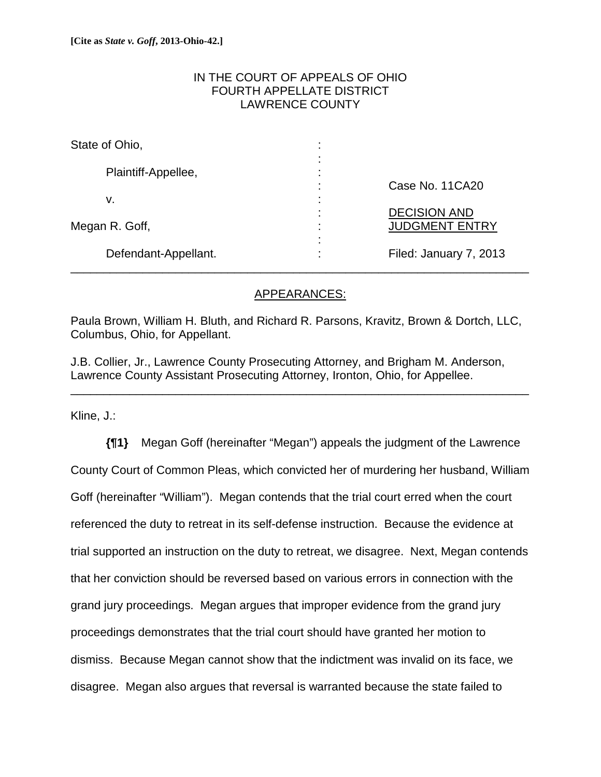### IN THE COURT OF APPEALS OF OHIO FOURTH APPELLATE DISTRICT LAWRENCE COUNTY

| State of Ohio,       | ٠<br>$\blacksquare$                             |                                        |
|----------------------|-------------------------------------------------|----------------------------------------|
| Plaintiff-Appellee,  | ٠<br>$\blacksquare$<br>٠<br>$\blacksquare$<br>٠ |                                        |
| v.                   | $\blacksquare$<br>٠<br>$\blacksquare$<br>٠      | Case No. 11CA20<br><b>DECISION AND</b> |
| Megan R. Goff,       | $\blacksquare$<br>٠<br>٠<br>٠<br>$\blacksquare$ | <b>JUDGMENT ENTRY</b>                  |
| Defendant-Appellant. | ٠<br>$\bullet$                                  | Filed: January 7, 2013                 |

### APPEARANCES:

Paula Brown, William H. Bluth, and Richard R. Parsons, Kravitz, Brown & Dortch, LLC, Columbus, Ohio, for Appellant.

J.B. Collier, Jr., Lawrence County Prosecuting Attorney, and Brigham M. Anderson, Lawrence County Assistant Prosecuting Attorney, Ironton, Ohio, for Appellee.

\_\_\_\_\_\_\_\_\_\_\_\_\_\_\_\_\_\_\_\_\_\_\_\_\_\_\_\_\_\_\_\_\_\_\_\_\_\_\_\_\_\_\_\_\_\_\_\_\_\_\_\_\_\_\_\_\_\_\_\_\_\_\_\_\_\_\_\_\_\_

Kline, J.:

**{¶1}** Megan Goff (hereinafter "Megan") appeals the judgment of the Lawrence County Court of Common Pleas, which convicted her of murdering her husband, William Goff (hereinafter "William"). Megan contends that the trial court erred when the court referenced the duty to retreat in its self-defense instruction. Because the evidence at trial supported an instruction on the duty to retreat, we disagree. Next, Megan contends that her conviction should be reversed based on various errors in connection with the grand jury proceedings. Megan argues that improper evidence from the grand jury proceedings demonstrates that the trial court should have granted her motion to dismiss. Because Megan cannot show that the indictment was invalid on its face, we disagree. Megan also argues that reversal is warranted because the state failed to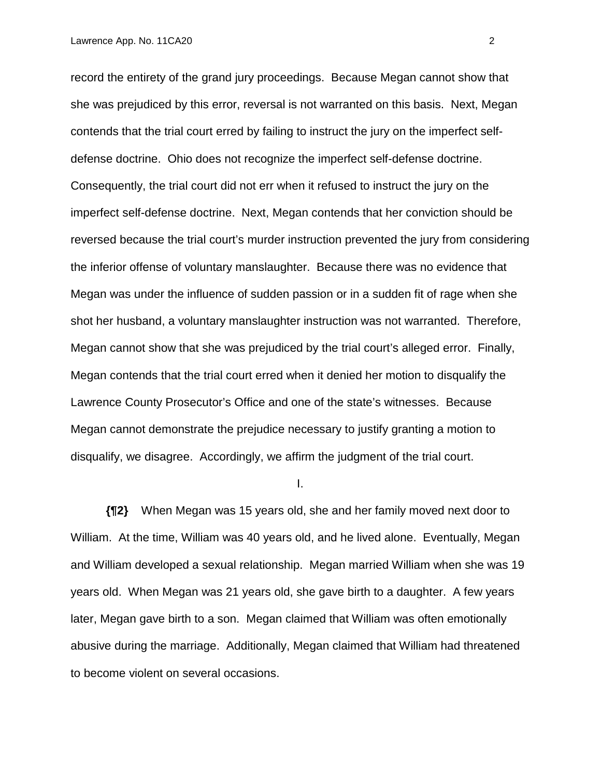record the entirety of the grand jury proceedings. Because Megan cannot show that she was prejudiced by this error, reversal is not warranted on this basis. Next, Megan contends that the trial court erred by failing to instruct the jury on the imperfect selfdefense doctrine. Ohio does not recognize the imperfect self-defense doctrine. Consequently, the trial court did not err when it refused to instruct the jury on the imperfect self-defense doctrine. Next, Megan contends that her conviction should be reversed because the trial court's murder instruction prevented the jury from considering the inferior offense of voluntary manslaughter. Because there was no evidence that Megan was under the influence of sudden passion or in a sudden fit of rage when she shot her husband, a voluntary manslaughter instruction was not warranted. Therefore, Megan cannot show that she was prejudiced by the trial court's alleged error. Finally, Megan contends that the trial court erred when it denied her motion to disqualify the Lawrence County Prosecutor's Office and one of the state's witnesses. Because Megan cannot demonstrate the prejudice necessary to justify granting a motion to disqualify, we disagree. Accordingly, we affirm the judgment of the trial court.

I.

**{¶2}** When Megan was 15 years old, she and her family moved next door to William. At the time, William was 40 years old, and he lived alone. Eventually, Megan and William developed a sexual relationship. Megan married William when she was 19 years old. When Megan was 21 years old, she gave birth to a daughter. A few years later, Megan gave birth to a son. Megan claimed that William was often emotionally abusive during the marriage. Additionally, Megan claimed that William had threatened to become violent on several occasions.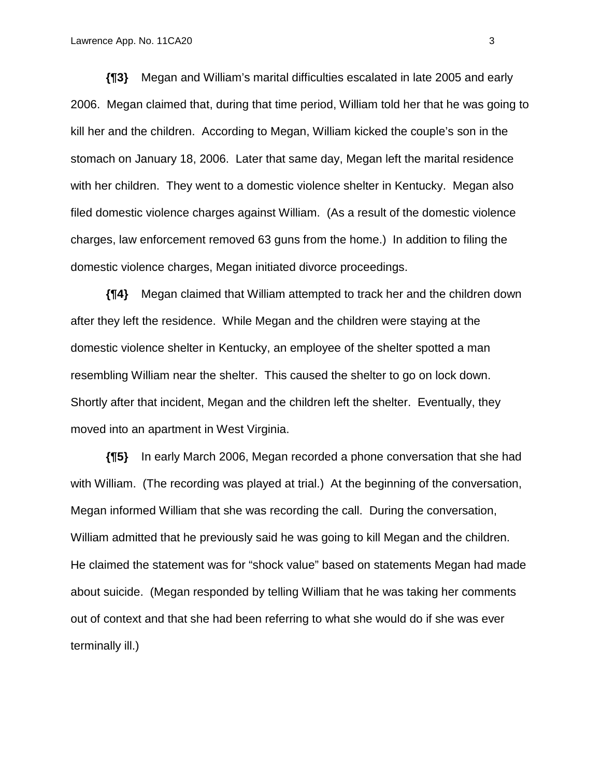**{¶3}** Megan and William's marital difficulties escalated in late 2005 and early 2006. Megan claimed that, during that time period, William told her that he was going to kill her and the children. According to Megan, William kicked the couple's son in the stomach on January 18, 2006. Later that same day, Megan left the marital residence with her children. They went to a domestic violence shelter in Kentucky. Megan also filed domestic violence charges against William. (As a result of the domestic violence charges, law enforcement removed 63 guns from the home.) In addition to filing the domestic violence charges, Megan initiated divorce proceedings.

**{¶4}** Megan claimed that William attempted to track her and the children down after they left the residence. While Megan and the children were staying at the domestic violence shelter in Kentucky, an employee of the shelter spotted a man resembling William near the shelter. This caused the shelter to go on lock down. Shortly after that incident, Megan and the children left the shelter. Eventually, they moved into an apartment in West Virginia.

**{¶5}** In early March 2006, Megan recorded a phone conversation that she had with William. (The recording was played at trial.) At the beginning of the conversation, Megan informed William that she was recording the call. During the conversation, William admitted that he previously said he was going to kill Megan and the children. He claimed the statement was for "shock value" based on statements Megan had made about suicide. (Megan responded by telling William that he was taking her comments out of context and that she had been referring to what she would do if she was ever terminally ill.)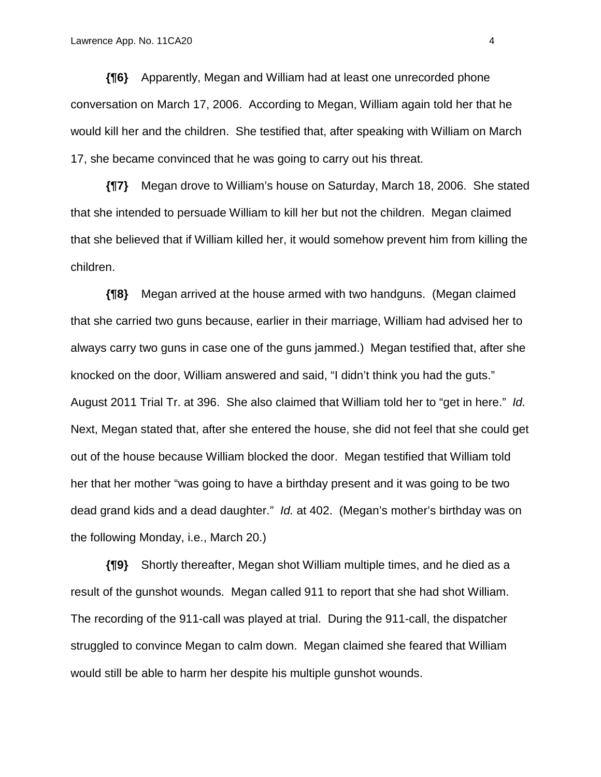**{¶6}** Apparently, Megan and William had at least one unrecorded phone conversation on March 17, 2006. According to Megan, William again told her that he would kill her and the children. She testified that, after speaking with William on March 17, she became convinced that he was going to carry out his threat.

**{¶7}** Megan drove to William's house on Saturday, March 18, 2006. She stated that she intended to persuade William to kill her but not the children. Megan claimed that she believed that if William killed her, it would somehow prevent him from killing the children.

**{¶8}** Megan arrived at the house armed with two handguns. (Megan claimed that she carried two guns because, earlier in their marriage, William had advised her to always carry two guns in case one of the guns jammed.) Megan testified that, after she knocked on the door, William answered and said, "I didn't think you had the guts." August 2011 Trial Tr. at 396. She also claimed that William told her to "get in here." *Id.* Next, Megan stated that, after she entered the house, she did not feel that she could get out of the house because William blocked the door. Megan testified that William told her that her mother "was going to have a birthday present and it was going to be two dead grand kids and a dead daughter." *Id.* at 402. (Megan's mother's birthday was on the following Monday, i.e., March 20.)

**{¶9}** Shortly thereafter, Megan shot William multiple times, and he died as a result of the gunshot wounds. Megan called 911 to report that she had shot William. The recording of the 911-call was played at trial. During the 911-call, the dispatcher struggled to convince Megan to calm down. Megan claimed she feared that William would still be able to harm her despite his multiple gunshot wounds.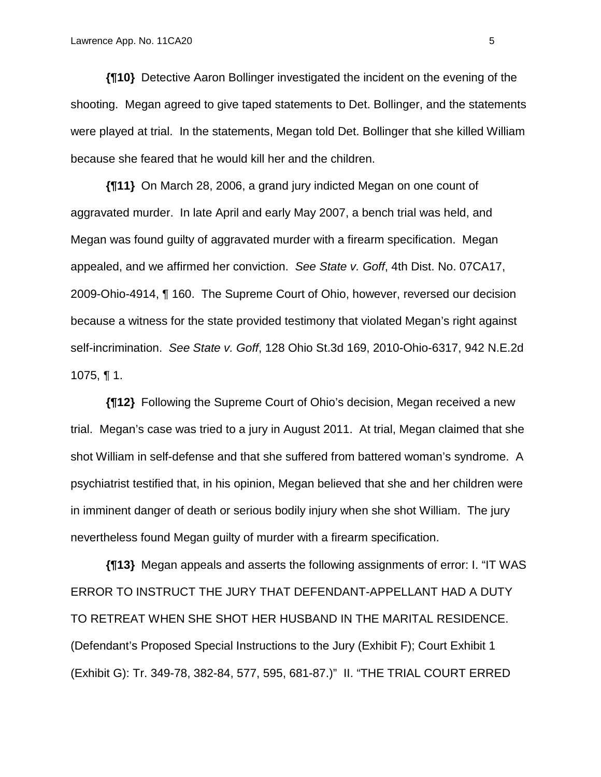**{¶10}** Detective Aaron Bollinger investigated the incident on the evening of the shooting. Megan agreed to give taped statements to Det. Bollinger, and the statements were played at trial. In the statements, Megan told Det. Bollinger that she killed William because she feared that he would kill her and the children.

**{¶11}** On March 28, 2006, a grand jury indicted Megan on one count of aggravated murder. In late April and early May 2007, a bench trial was held, and Megan was found guilty of aggravated murder with a firearm specification. Megan appealed, and we affirmed her conviction. *See State v. Goff*, 4th Dist. No. 07CA17, 2009-Ohio-4914, ¶ 160. The Supreme Court of Ohio, however, reversed our decision because a witness for the state provided testimony that violated Megan's right against self-incrimination. *See State v. Goff*, 128 Ohio St.3d 169, 2010-Ohio-6317, 942 N.E.2d 1075,  $\P$  1.

**{¶12}** Following the Supreme Court of Ohio's decision, Megan received a new trial. Megan's case was tried to a jury in August 2011. At trial, Megan claimed that she shot William in self-defense and that she suffered from battered woman's syndrome. A psychiatrist testified that, in his opinion, Megan believed that she and her children were in imminent danger of death or serious bodily injury when she shot William. The jury nevertheless found Megan guilty of murder with a firearm specification.

**{¶13}** Megan appeals and asserts the following assignments of error: I. "IT WAS ERROR TO INSTRUCT THE JURY THAT DEFENDANT-APPELLANT HAD A DUTY TO RETREAT WHEN SHE SHOT HER HUSBAND IN THE MARITAL RESIDENCE. (Defendant's Proposed Special Instructions to the Jury (Exhibit F); Court Exhibit 1 (Exhibit G): Tr. 349-78, 382-84, 577, 595, 681-87.)" II. "THE TRIAL COURT ERRED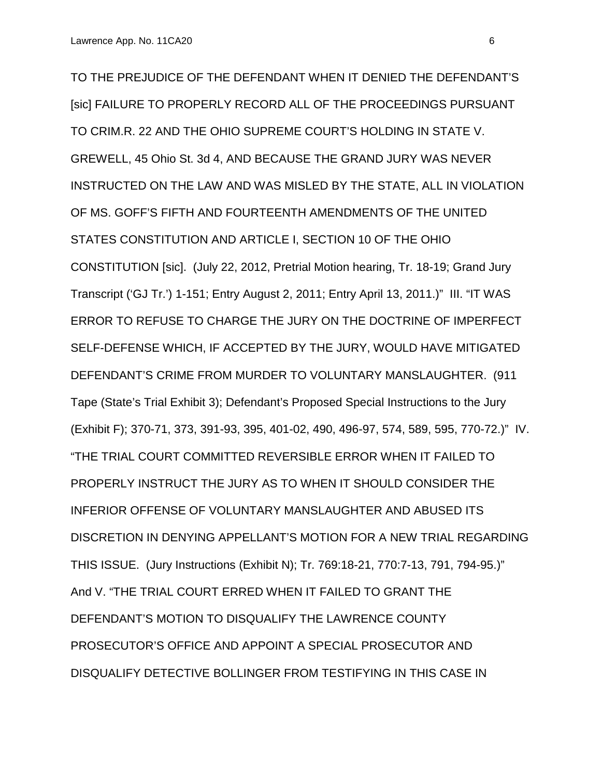TO THE PREJUDICE OF THE DEFENDANT WHEN IT DENIED THE DEFENDANT'S [sic] FAILURE TO PROPERLY RECORD ALL OF THE PROCEEDINGS PURSUANT TO CRIM.R. 22 AND THE OHIO SUPREME COURT'S HOLDING IN STATE V. GREWELL, 45 Ohio St. 3d 4, AND BECAUSE THE GRAND JURY WAS NEVER INSTRUCTED ON THE LAW AND WAS MISLED BY THE STATE, ALL IN VIOLATION OF MS. GOFF'S FIFTH AND FOURTEENTH AMENDMENTS OF THE UNITED STATES CONSTITUTION AND ARTICLE I, SECTION 10 OF THE OHIO CONSTITUTION [sic]. (July 22, 2012, Pretrial Motion hearing, Tr. 18-19; Grand Jury Transcript ('GJ Tr.') 1-151; Entry August 2, 2011; Entry April 13, 2011.)" III. "IT WAS ERROR TO REFUSE TO CHARGE THE JURY ON THE DOCTRINE OF IMPERFECT SELF-DEFENSE WHICH, IF ACCEPTED BY THE JURY, WOULD HAVE MITIGATED DEFENDANT'S CRIME FROM MURDER TO VOLUNTARY MANSLAUGHTER. (911 Tape (State's Trial Exhibit 3); Defendant's Proposed Special Instructions to the Jury (Exhibit F); 370-71, 373, 391-93, 395, 401-02, 490, 496-97, 574, 589, 595, 770-72.)" IV. "THE TRIAL COURT COMMITTED REVERSIBLE ERROR WHEN IT FAILED TO PROPERLY INSTRUCT THE JURY AS TO WHEN IT SHOULD CONSIDER THE INFERIOR OFFENSE OF VOLUNTARY MANSLAUGHTER AND ABUSED ITS DISCRETION IN DENYING APPELLANT'S MOTION FOR A NEW TRIAL REGARDING THIS ISSUE. (Jury Instructions (Exhibit N); Tr. 769:18-21, 770:7-13, 791, 794-95.)" And V. "THE TRIAL COURT ERRED WHEN IT FAILED TO GRANT THE DEFENDANT'S MOTION TO DISQUALIFY THE LAWRENCE COUNTY PROSECUTOR'S OFFICE AND APPOINT A SPECIAL PROSECUTOR AND DISQUALIFY DETECTIVE BOLLINGER FROM TESTIFYING IN THIS CASE IN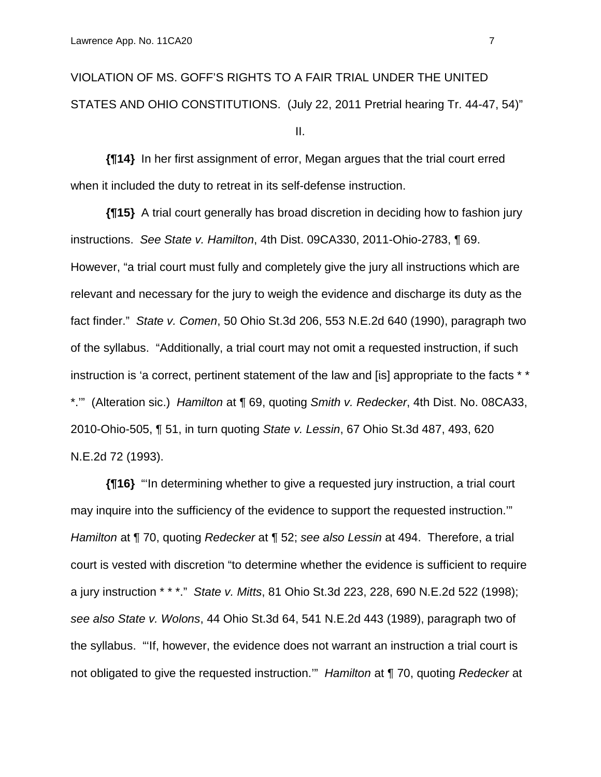VIOLATION OF MS. GOFF'S RIGHTS TO A FAIR TRIAL UNDER THE UNITED STATES AND OHIO CONSTITUTIONS. (July 22, 2011 Pretrial hearing Tr. 44-47, 54)" II.

**{¶14}** In her first assignment of error, Megan argues that the trial court erred when it included the duty to retreat in its self-defense instruction.

**{¶15}** A trial court generally has broad discretion in deciding how to fashion jury instructions. *See State v. Hamilton*, 4th Dist. 09CA330, 2011-Ohio-2783, ¶ 69. However, "a trial court must fully and completely give the jury all instructions which are relevant and necessary for the jury to weigh the evidence and discharge its duty as the fact finder." *State v. Comen*, 50 Ohio St.3d 206, 553 N.E.2d 640 (1990), paragraph two of the syllabus. "Additionally, a trial court may not omit a requested instruction, if such instruction is 'a correct, pertinent statement of the law and [is] appropriate to the facts \* \* \*.'" (Alteration sic.) *Hamilton* at ¶ 69, quoting *Smith v. Redecker*, 4th Dist. No. 08CA33, 2010-Ohio-505, ¶ 51, in turn quoting *State v. Lessin*, 67 Ohio St.3d 487, 493, 620 N.E.2d 72 (1993).

**{¶16}** "'In determining whether to give a requested jury instruction, a trial court may inquire into the sufficiency of the evidence to support the requested instruction.'" *Hamilton* at ¶ 70, quoting *Redecker* at ¶ 52; *see also Lessin* at 494. Therefore, a trial court is vested with discretion "to determine whether the evidence is sufficient to require a jury instruction \* \* \*." *State v. Mitts*, 81 Ohio St.3d 223, 228, 690 N.E.2d 522 (1998); *see also State v. Wolons*, 44 Ohio St.3d 64, 541 N.E.2d 443 (1989), paragraph two of the syllabus. "'If, however, the evidence does not warrant an instruction a trial court is not obligated to give the requested instruction.'" *Hamilton* at ¶ 70, quoting *Redecker* at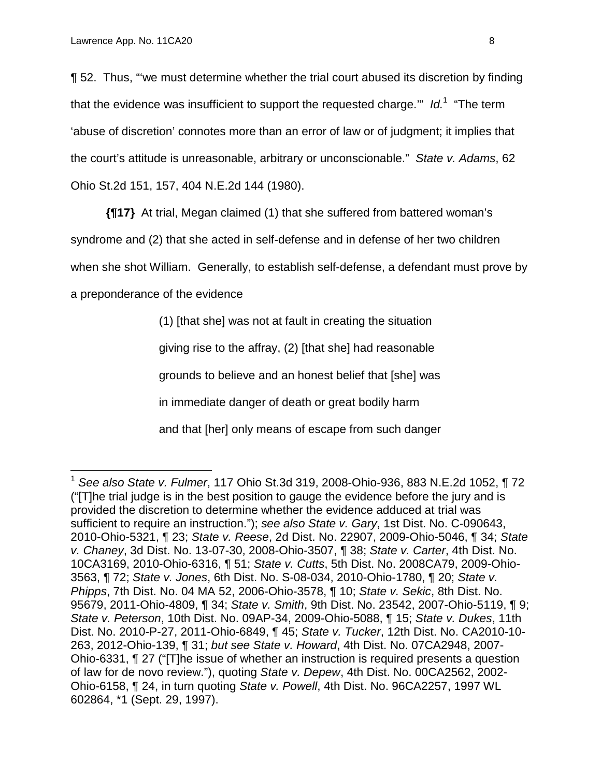¶ 52. Thus, "'we must determine whether the trial court abused its discretion by finding that the evidence was insufficient to support the requested charge.'" *Id.*1 "The term 'abuse of discretion' connotes more than an error of law or of judgment; it implies that the court's attitude is unreasonable, arbitrary or unconscionable." *State v. Adams*, 62 Ohio St.2d 151, 157, 404 N.E.2d 144 (1980).

**{¶17}** At trial, Megan claimed (1) that she suffered from battered woman's

syndrome and (2) that she acted in self-defense and in defense of her two children

when she shot William. Generally, to establish self-defense, a defendant must prove by

a preponderance of the evidence

 $\overline{a}$ 

(1) [that she] was not at fault in creating the situation giving rise to the affray, (2) [that she] had reasonable grounds to believe and an honest belief that [she] was in immediate danger of death or great bodily harm and that [her] only means of escape from such danger

<sup>1</sup> *See also State v. Fulmer*, 117 Ohio St.3d 319, 2008-Ohio-936, 883 N.E.2d 1052, ¶ 72 ("[T]he trial judge is in the best position to gauge the evidence before the jury and is provided the discretion to determine whether the evidence adduced at trial was sufficient to require an instruction."); *see also State v. Gary*, 1st Dist. No. C-090643, 2010-Ohio-5321, ¶ 23; *State v. Reese*, 2d Dist. No. 22907, 2009-Ohio-5046, ¶ 34; *State v. Chaney*, 3d Dist. No. 13-07-30, 2008-Ohio-3507, ¶ 38; *State v. Carter*, 4th Dist. No. 10CA3169, 2010-Ohio-6316, ¶ 51; *State v. Cutts*, 5th Dist. No. 2008CA79, 2009-Ohio-3563, ¶ 72; *State v. Jones*, 6th Dist. No. S-08-034, 2010-Ohio-1780, ¶ 20; *State v. Phipps*, 7th Dist. No. 04 MA 52, 2006-Ohio-3578, ¶ 10; *State v. Sekic*, 8th Dist. No. 95679, 2011-Ohio-4809, ¶ 34; *State v. Smith*, 9th Dist. No. 23542, 2007-Ohio-5119, ¶ 9; *State v. Peterson*, 10th Dist. No. 09AP-34, 2009-Ohio-5088, ¶ 15; *State v. Dukes*, 11th Dist. No. 2010-P-27, 2011-Ohio-6849, ¶ 45; *State v. Tucker*, 12th Dist. No. CA2010-10- 263, 2012-Ohio-139, ¶ 31; *but see State v. Howard*, 4th Dist. No. 07CA2948, 2007- Ohio-6331, ¶ 27 ("[T]he issue of whether an instruction is required presents a question of law for de novo review."), quoting *State v. Depew*, 4th Dist. No. 00CA2562, 2002- Ohio-6158, ¶ 24, in turn quoting *State v. Powell*, 4th Dist. No. 96CA2257, 1997 WL 602864, \*1 (Sept. 29, 1997).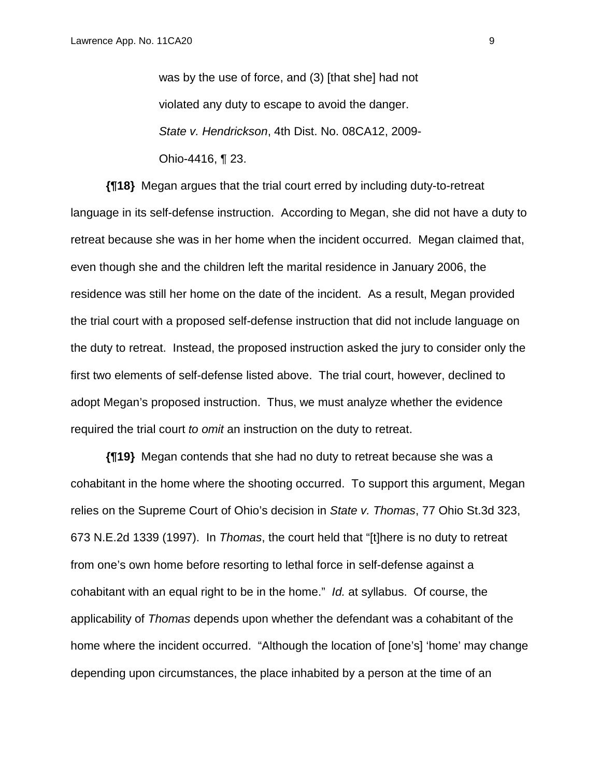was by the use of force, and (3) [that she] had not violated any duty to escape to avoid the danger. *State v. Hendrickson*, 4th Dist. No. 08CA12, 2009- Ohio-4416, ¶ 23.

**{¶18}** Megan argues that the trial court erred by including duty-to-retreat language in its self-defense instruction. According to Megan, she did not have a duty to retreat because she was in her home when the incident occurred. Megan claimed that, even though she and the children left the marital residence in January 2006, the residence was still her home on the date of the incident. As a result, Megan provided the trial court with a proposed self-defense instruction that did not include language on the duty to retreat. Instead, the proposed instruction asked the jury to consider only the first two elements of self-defense listed above. The trial court, however, declined to adopt Megan's proposed instruction. Thus, we must analyze whether the evidence required the trial court *to omit* an instruction on the duty to retreat.

**{¶19}** Megan contends that she had no duty to retreat because she was a cohabitant in the home where the shooting occurred. To support this argument, Megan relies on the Supreme Court of Ohio's decision in *State v. Thomas*, 77 Ohio St.3d 323, 673 N.E.2d 1339 (1997). In *Thomas*, the court held that "[t]here is no duty to retreat from one's own home before resorting to lethal force in self-defense against a cohabitant with an equal right to be in the home." *Id.* at syllabus. Of course, the applicability of *Thomas* depends upon whether the defendant was a cohabitant of the home where the incident occurred. "Although the location of [one's] 'home' may change depending upon circumstances, the place inhabited by a person at the time of an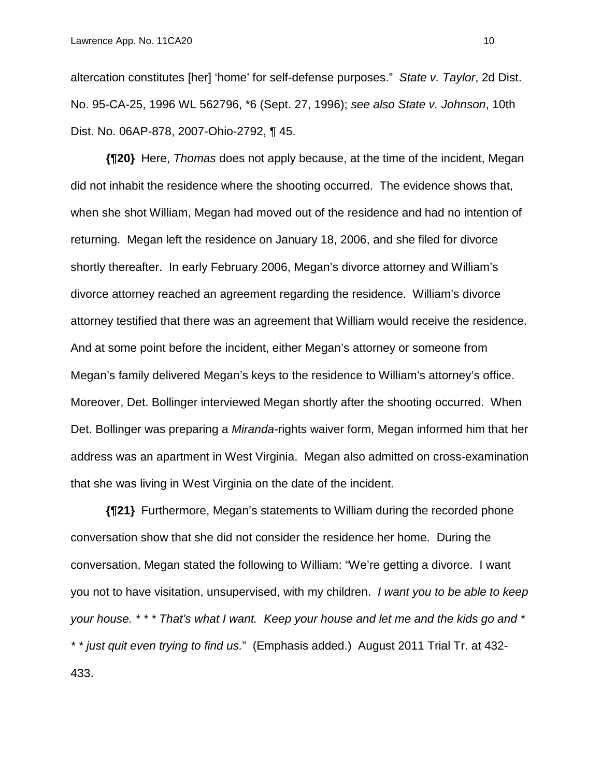altercation constitutes [her] 'home' for self-defense purposes." *State v. Taylor*, 2d Dist. No. 95-CA-25, 1996 WL 562796, \*6 (Sept. 27, 1996); *see also State v. Johnson*, 10th Dist. No. 06AP-878, 2007-Ohio-2792, ¶ 45.

**{¶20}** Here, *Thomas* does not apply because, at the time of the incident, Megan did not inhabit the residence where the shooting occurred. The evidence shows that, when she shot William, Megan had moved out of the residence and had no intention of returning. Megan left the residence on January 18, 2006, and she filed for divorce shortly thereafter. In early February 2006, Megan's divorce attorney and William's divorce attorney reached an agreement regarding the residence. William's divorce attorney testified that there was an agreement that William would receive the residence. And at some point before the incident, either Megan's attorney or someone from Megan's family delivered Megan's keys to the residence to William's attorney's office. Moreover, Det. Bollinger interviewed Megan shortly after the shooting occurred. When Det. Bollinger was preparing a *Miranda*-rights waiver form, Megan informed him that her address was an apartment in West Virginia. Megan also admitted on cross-examination that she was living in West Virginia on the date of the incident.

**{¶21}** Furthermore, Megan's statements to William during the recorded phone conversation show that she did not consider the residence her home. During the conversation, Megan stated the following to William: "We're getting a divorce. I want you not to have visitation, unsupervised, with my children. *I want you to be able to keep your house. \* \* \* That's what I want. Keep your house and let me and the kids go and \* \* \* just quit even trying to find us.*" (Emphasis added.) August 2011 Trial Tr. at 432- 433.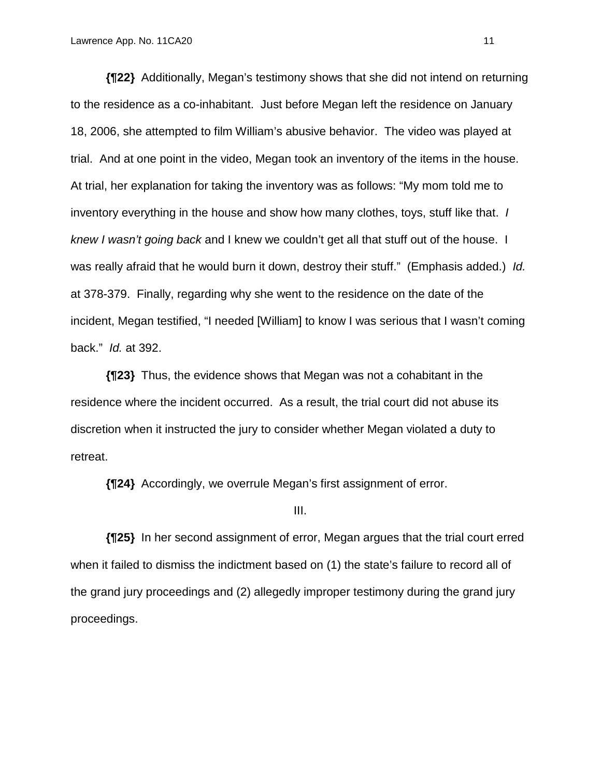**{¶22}** Additionally, Megan's testimony shows that she did not intend on returning to the residence as a co-inhabitant. Just before Megan left the residence on January 18, 2006, she attempted to film William's abusive behavior. The video was played at trial. And at one point in the video, Megan took an inventory of the items in the house. At trial, her explanation for taking the inventory was as follows: "My mom told me to inventory everything in the house and show how many clothes, toys, stuff like that. *I knew I wasn't going back* and I knew we couldn't get all that stuff out of the house. I was really afraid that he would burn it down, destroy their stuff." (Emphasis added.) *Id.* at 378-379. Finally, regarding why she went to the residence on the date of the incident, Megan testified, "I needed [William] to know I was serious that I wasn't coming back." *Id.* at 392.

**{¶23}** Thus, the evidence shows that Megan was not a cohabitant in the residence where the incident occurred. As a result, the trial court did not abuse its discretion when it instructed the jury to consider whether Megan violated a duty to retreat.

**{¶24}** Accordingly, we overrule Megan's first assignment of error.

III.

**{¶25}** In her second assignment of error, Megan argues that the trial court erred when it failed to dismiss the indictment based on (1) the state's failure to record all of the grand jury proceedings and (2) allegedly improper testimony during the grand jury proceedings.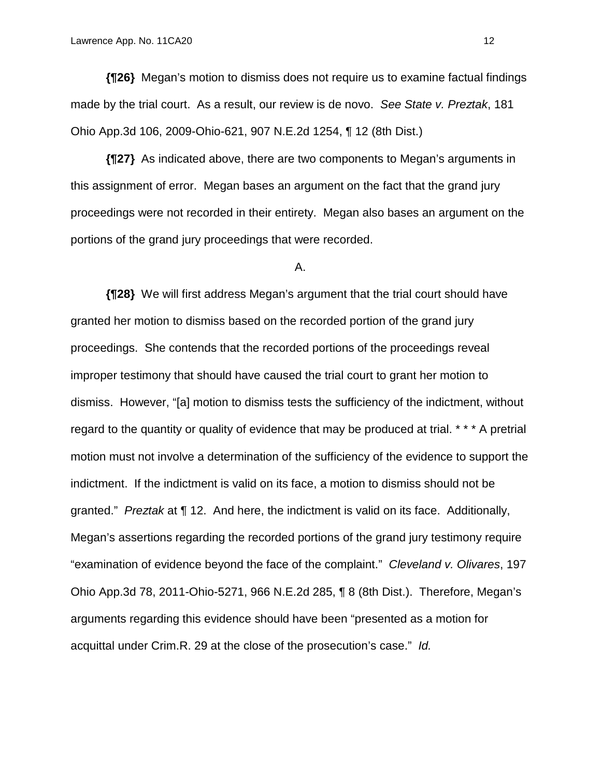**{¶26}** Megan's motion to dismiss does not require us to examine factual findings made by the trial court. As a result, our review is de novo. *See State v. Preztak*, 181 Ohio App.3d 106, 2009-Ohio-621, 907 N.E.2d 1254, ¶ 12 (8th Dist.)

**{¶27}** As indicated above, there are two components to Megan's arguments in this assignment of error. Megan bases an argument on the fact that the grand jury proceedings were not recorded in their entirety. Megan also bases an argument on the portions of the grand jury proceedings that were recorded.

#### A.

**{¶28}** We will first address Megan's argument that the trial court should have granted her motion to dismiss based on the recorded portion of the grand jury proceedings. She contends that the recorded portions of the proceedings reveal improper testimony that should have caused the trial court to grant her motion to dismiss. However, "[a] motion to dismiss tests the sufficiency of the indictment, without regard to the quantity or quality of evidence that may be produced at trial. \* \* \* A pretrial motion must not involve a determination of the sufficiency of the evidence to support the indictment. If the indictment is valid on its face, a motion to dismiss should not be granted." *Preztak* at ¶ 12. And here, the indictment is valid on its face. Additionally, Megan's assertions regarding the recorded portions of the grand jury testimony require "examination of evidence beyond the face of the complaint." *Cleveland v. Olivares*, 197 Ohio App.3d 78, 2011-Ohio-5271, 966 N.E.2d 285, ¶ 8 (8th Dist.). Therefore, Megan's arguments regarding this evidence should have been "presented as a motion for acquittal under Crim.R. 29 at the close of the prosecution's case." *Id.*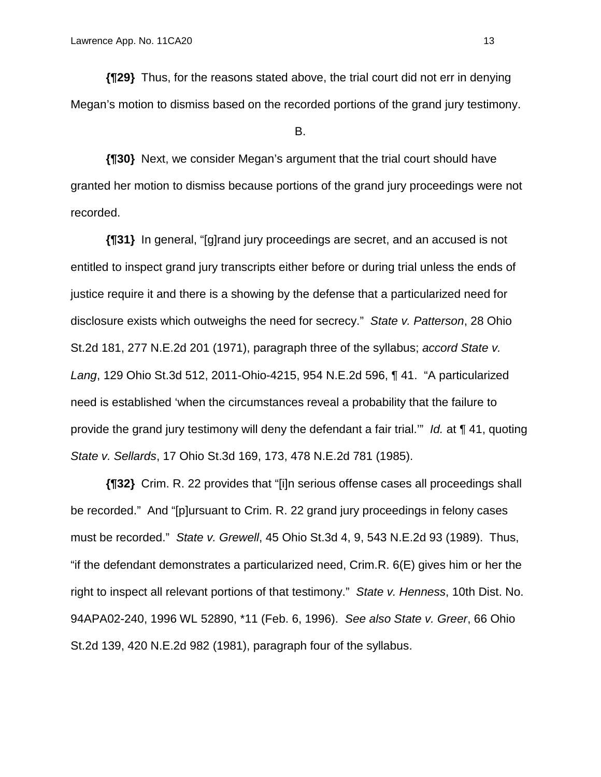**{¶29}** Thus, for the reasons stated above, the trial court did not err in denying Megan's motion to dismiss based on the recorded portions of the grand jury testimony.

#### B.

**{¶30}** Next, we consider Megan's argument that the trial court should have granted her motion to dismiss because portions of the grand jury proceedings were not recorded.

**{¶31}** In general, "[g]rand jury proceedings are secret, and an accused is not entitled to inspect grand jury transcripts either before or during trial unless the ends of justice require it and there is a showing by the defense that a particularized need for disclosure exists which outweighs the need for secrecy." *State v. Patterson*, 28 Ohio St.2d 181, 277 N.E.2d 201 (1971), paragraph three of the syllabus; *accord State v. Lang*, 129 Ohio St.3d 512, 2011-Ohio-4215, 954 N.E.2d 596, ¶ 41. "A particularized need is established 'when the circumstances reveal a probability that the failure to provide the grand jury testimony will deny the defendant a fair trial.'" *Id.* at ¶ 41, quoting *State v. Sellards*, 17 Ohio St.3d 169, 173, 478 N.E.2d 781 (1985).

**{¶32}** Crim. R. 22 provides that "[i]n serious offense cases all proceedings shall be recorded." And "[p]ursuant to Crim. R. 22 grand jury proceedings in felony cases must be recorded." *State v. Grewell*, 45 Ohio St.3d 4, 9, 543 N.E.2d 93 (1989). Thus, "if the defendant demonstrates a particularized need, Crim.R. 6(E) gives him or her the right to inspect all relevant portions of that testimony." *State v. Henness*, 10th Dist. No. 94APA02-240, 1996 WL 52890, \*11 (Feb. 6, 1996). *See also State v. Greer*, 66 Ohio St.2d 139, 420 N.E.2d 982 (1981), paragraph four of the syllabus.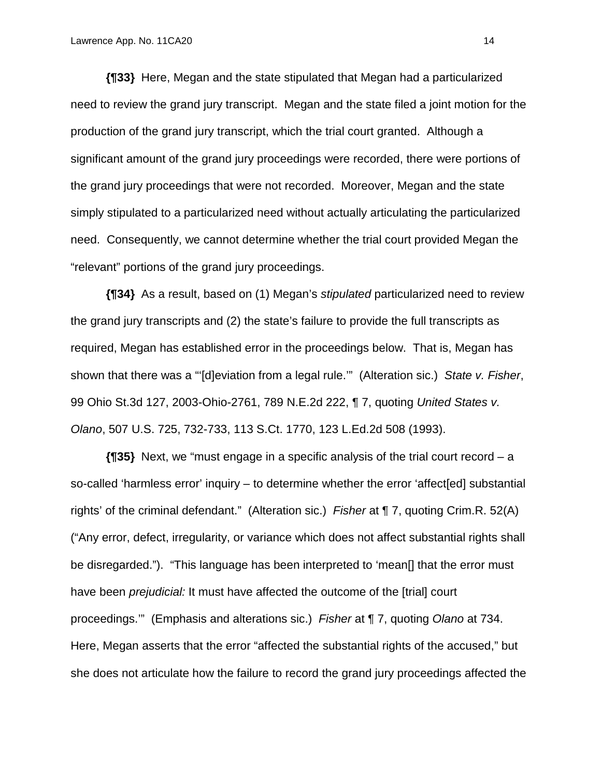**{¶33}** Here, Megan and the state stipulated that Megan had a particularized need to review the grand jury transcript. Megan and the state filed a joint motion for the production of the grand jury transcript, which the trial court granted. Although a significant amount of the grand jury proceedings were recorded, there were portions of the grand jury proceedings that were not recorded. Moreover, Megan and the state simply stipulated to a particularized need without actually articulating the particularized need. Consequently, we cannot determine whether the trial court provided Megan the "relevant" portions of the grand jury proceedings.

**{¶34}** As a result, based on (1) Megan's *stipulated* particularized need to review the grand jury transcripts and (2) the state's failure to provide the full transcripts as required, Megan has established error in the proceedings below. That is, Megan has shown that there was a "'[d]eviation from a legal rule.'" (Alteration sic.) *State v. Fisher*, 99 Ohio St.3d 127, 2003-Ohio-2761, 789 N.E.2d 222, ¶ 7, quoting *United States v. Olano*, 507 U.S. 725, 732-733, 113 S.Ct. 1770, 123 L.Ed.2d 508 (1993).

**{¶35}** Next, we "must engage in a specific analysis of the trial court record – a so-called 'harmless error' inquiry – to determine whether the error 'affect[ed] substantial rights' of the criminal defendant." (Alteration sic.) *Fisher* at ¶ 7, quoting Crim.R. 52(A) ("Any error, defect, irregularity, or variance which does not affect substantial rights shall be disregarded."). "This language has been interpreted to 'mean[] that the error must have been *prejudicial:* It must have affected the outcome of the [trial] court proceedings.'" (Emphasis and alterations sic.) *Fisher* at ¶ 7, quoting *Olano* at 734. Here, Megan asserts that the error "affected the substantial rights of the accused," but she does not articulate how the failure to record the grand jury proceedings affected the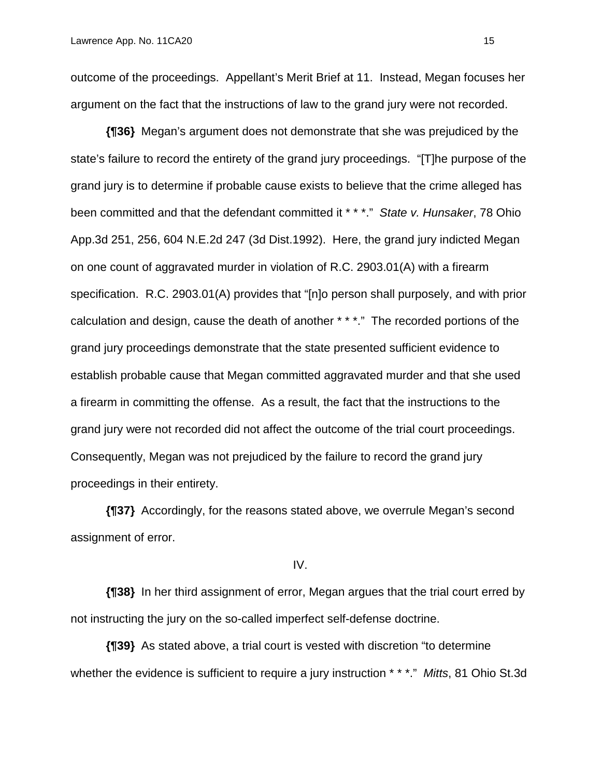outcome of the proceedings. Appellant's Merit Brief at 11. Instead, Megan focuses her argument on the fact that the instructions of law to the grand jury were not recorded.

**{¶36}** Megan's argument does not demonstrate that she was prejudiced by the state's failure to record the entirety of the grand jury proceedings. "[T]he purpose of the grand jury is to determine if probable cause exists to believe that the crime alleged has been committed and that the defendant committed it \* \* \*." *State v. Hunsaker*, 78 Ohio App.3d 251, 256, 604 N.E.2d 247 (3d Dist.1992). Here, the grand jury indicted Megan on one count of aggravated murder in violation of R.C. 2903.01(A) with a firearm specification. R.C. 2903.01(A) provides that "[n]o person shall purposely, and with prior calculation and design, cause the death of another \* \* \*." The recorded portions of the grand jury proceedings demonstrate that the state presented sufficient evidence to establish probable cause that Megan committed aggravated murder and that she used a firearm in committing the offense. As a result, the fact that the instructions to the grand jury were not recorded did not affect the outcome of the trial court proceedings. Consequently, Megan was not prejudiced by the failure to record the grand jury proceedings in their entirety.

**{¶37}** Accordingly, for the reasons stated above, we overrule Megan's second assignment of error.

IV.

**{¶38}** In her third assignment of error, Megan argues that the trial court erred by not instructing the jury on the so-called imperfect self-defense doctrine.

**{¶39}** As stated above, a trial court is vested with discretion "to determine whether the evidence is sufficient to require a jury instruction \* \* \*." *Mitts*, 81 Ohio St.3d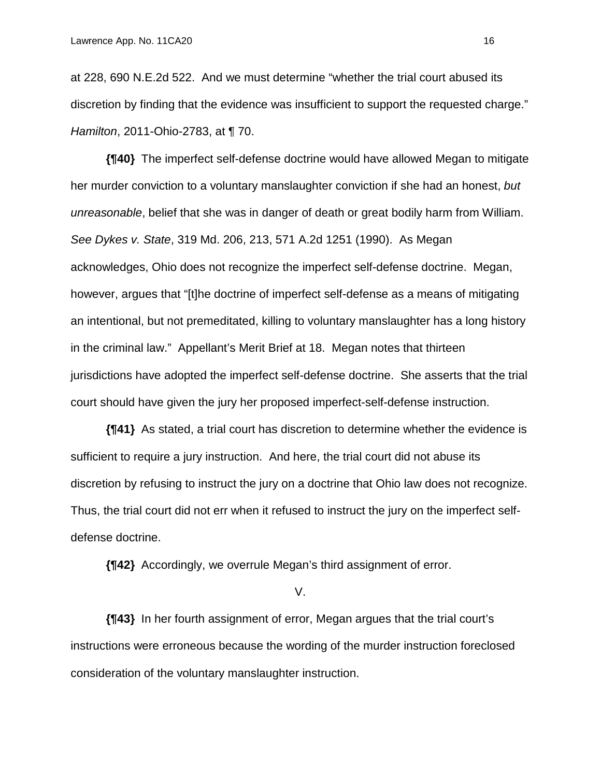at 228, 690 N.E.2d 522. And we must determine "whether the trial court abused its discretion by finding that the evidence was insufficient to support the requested charge." *Hamilton*, 2011-Ohio-2783, at ¶ 70.

**{¶40}** The imperfect self-defense doctrine would have allowed Megan to mitigate her murder conviction to a voluntary manslaughter conviction if she had an honest, *but unreasonable*, belief that she was in danger of death or great bodily harm from William. *See Dykes v. State*, 319 Md. 206, 213, 571 A.2d 1251 (1990). As Megan acknowledges, Ohio does not recognize the imperfect self-defense doctrine. Megan, however, argues that "[t]he doctrine of imperfect self-defense as a means of mitigating an intentional, but not premeditated, killing to voluntary manslaughter has a long history in the criminal law." Appellant's Merit Brief at 18. Megan notes that thirteen jurisdictions have adopted the imperfect self-defense doctrine. She asserts that the trial court should have given the jury her proposed imperfect-self-defense instruction.

**{¶41}** As stated, a trial court has discretion to determine whether the evidence is sufficient to require a jury instruction. And here, the trial court did not abuse its discretion by refusing to instruct the jury on a doctrine that Ohio law does not recognize. Thus, the trial court did not err when it refused to instruct the jury on the imperfect selfdefense doctrine.

**{¶42}** Accordingly, we overrule Megan's third assignment of error.

V.

**{¶43}** In her fourth assignment of error, Megan argues that the trial court's instructions were erroneous because the wording of the murder instruction foreclosed consideration of the voluntary manslaughter instruction.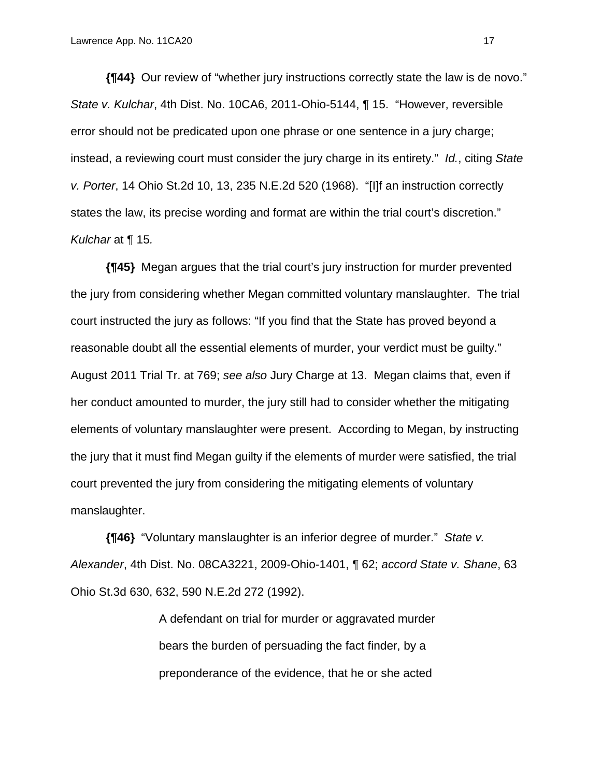**{¶44}** Our review of "whether jury instructions correctly state the law is de novo." *State v. Kulchar*, 4th Dist. No. 10CA6, 2011-Ohio-5144, ¶ 15. "However, reversible error should not be predicated upon one phrase or one sentence in a jury charge; instead, a reviewing court must consider the jury charge in its entirety." *Id.*, citing *State v. Porter*, 14 Ohio St.2d 10, 13, 235 N.E.2d 520 (1968). "[I]f an instruction correctly states the law, its precise wording and format are within the trial court's discretion." *Kulchar* at ¶ 15*.*

**{¶45}** Megan argues that the trial court's jury instruction for murder prevented the jury from considering whether Megan committed voluntary manslaughter. The trial court instructed the jury as follows: "If you find that the State has proved beyond a reasonable doubt all the essential elements of murder, your verdict must be guilty." August 2011 Trial Tr. at 769; *see also* Jury Charge at 13. Megan claims that, even if her conduct amounted to murder, the jury still had to consider whether the mitigating elements of voluntary manslaughter were present. According to Megan, by instructing the jury that it must find Megan guilty if the elements of murder were satisfied, the trial court prevented the jury from considering the mitigating elements of voluntary manslaughter.

**{¶46}** "Voluntary manslaughter is an inferior degree of murder." *State v. Alexander*, 4th Dist. No. 08CA3221, 2009-Ohio-1401, ¶ 62; *accord State v. Shane*, 63 Ohio St.3d 630, 632, 590 N.E.2d 272 (1992).

> A defendant on trial for murder or aggravated murder bears the burden of persuading the fact finder, by a preponderance of the evidence, that he or she acted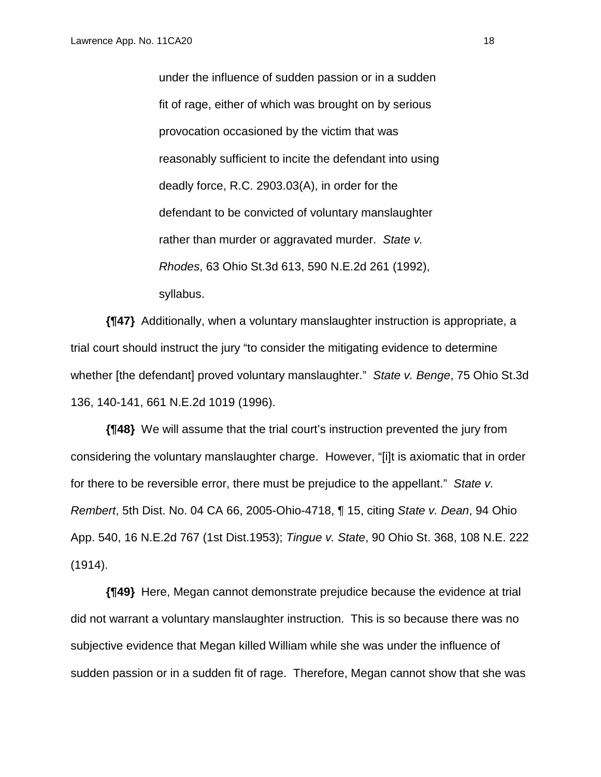under the influence of sudden passion or in a sudden fit of rage, either of which was brought on by serious provocation occasioned by the victim that was reasonably sufficient to incite the defendant into using deadly force, R.C. 2903.03(A), in order for the defendant to be convicted of voluntary manslaughter rather than murder or aggravated murder. *State v. Rhodes*, 63 Ohio St.3d 613, 590 N.E.2d 261 (1992), syllabus.

**{¶47}** Additionally, when a voluntary manslaughter instruction is appropriate, a trial court should instruct the jury "to consider the mitigating evidence to determine whether [the defendant] proved voluntary manslaughter." *State v. Benge*, 75 Ohio St.3d 136, 140-141, 661 N.E.2d 1019 (1996).

**{¶48}** We will assume that the trial court's instruction prevented the jury from considering the voluntary manslaughter charge. However, "[i]t is axiomatic that in order for there to be reversible error, there must be prejudice to the appellant." *State v. Rembert*, 5th Dist. No. 04 CA 66, 2005-Ohio-4718, ¶ 15, citing *State v. Dean*, 94 Ohio App. 540, 16 N.E.2d 767 (1st Dist.1953); *Tingue v. State*, 90 Ohio St. 368, 108 N.E. 222 (1914).

**{¶49}** Here, Megan cannot demonstrate prejudice because the evidence at trial did not warrant a voluntary manslaughter instruction. This is so because there was no subjective evidence that Megan killed William while she was under the influence of sudden passion or in a sudden fit of rage. Therefore, Megan cannot show that she was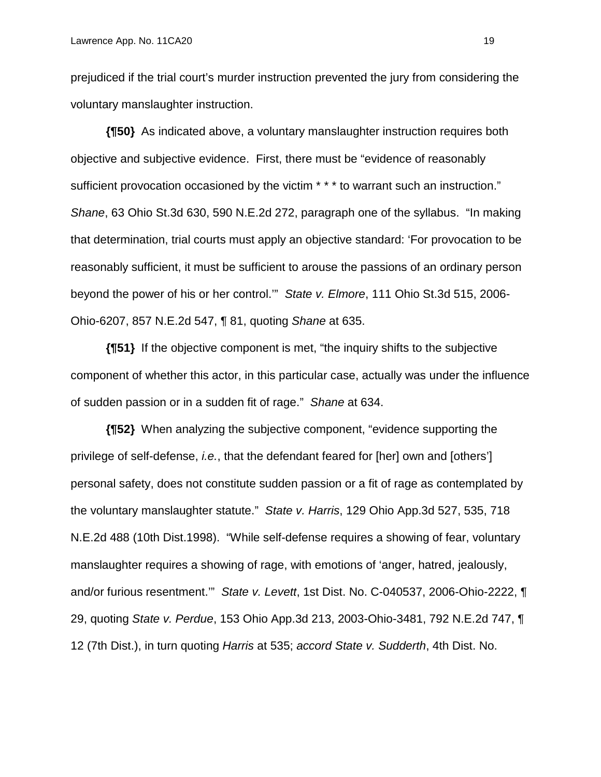prejudiced if the trial court's murder instruction prevented the jury from considering the voluntary manslaughter instruction.

**{¶50}** As indicated above, a voluntary manslaughter instruction requires both objective and subjective evidence. First, there must be "evidence of reasonably sufficient provocation occasioned by the victim \* \* \* to warrant such an instruction." *Shane*, 63 Ohio St.3d 630, 590 N.E.2d 272, paragraph one of the syllabus. "In making that determination, trial courts must apply an objective standard: 'For provocation to be reasonably sufficient, it must be sufficient to arouse the passions of an ordinary person beyond the power of his or her control.'" *State v. Elmore*, 111 Ohio St.3d 515, 2006- Ohio-6207, 857 N.E.2d 547, ¶ 81, quoting *Shane* at 635.

**{¶51}** If the objective component is met, "the inquiry shifts to the subjective component of whether this actor, in this particular case, actually was under the influence of sudden passion or in a sudden fit of rage." *Shane* at 634.

**{¶52}** When analyzing the subjective component, "evidence supporting the privilege of self-defense, *i.e.*, that the defendant feared for [her] own and [others'] personal safety, does not constitute sudden passion or a fit of rage as contemplated by the voluntary manslaughter statute." *State v. Harris*, 129 Ohio App.3d 527, 535, 718 N.E.2d 488 (10th Dist.1998). "While self-defense requires a showing of fear, voluntary manslaughter requires a showing of rage, with emotions of 'anger, hatred, jealously, and/or furious resentment.'" *State v. Levett*, 1st Dist. No. C-040537, 2006-Ohio-2222, ¶ 29, quoting *State v. Perdue*, 153 Ohio App.3d 213, 2003-Ohio-3481, 792 N.E.2d 747, ¶ 12 (7th Dist.), in turn quoting *Harris* at 535; *accord State v. Sudderth*, 4th Dist. No.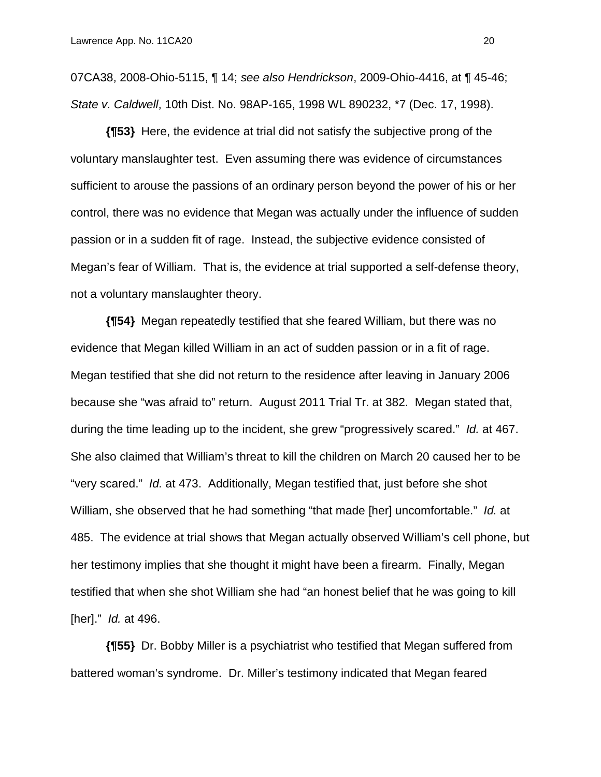07CA38, 2008-Ohio-5115, ¶ 14; *see also Hendrickson*, 2009-Ohio-4416, at ¶ 45-46; *State v. Caldwell*, 10th Dist. No. 98AP-165, 1998 WL 890232, \*7 (Dec. 17, 1998).

**{¶53}** Here, the evidence at trial did not satisfy the subjective prong of the voluntary manslaughter test. Even assuming there was evidence of circumstances sufficient to arouse the passions of an ordinary person beyond the power of his or her control, there was no evidence that Megan was actually under the influence of sudden passion or in a sudden fit of rage. Instead, the subjective evidence consisted of Megan's fear of William. That is, the evidence at trial supported a self-defense theory, not a voluntary manslaughter theory.

**{¶54}** Megan repeatedly testified that she feared William, but there was no evidence that Megan killed William in an act of sudden passion or in a fit of rage. Megan testified that she did not return to the residence after leaving in January 2006 because she "was afraid to" return. August 2011 Trial Tr. at 382. Megan stated that, during the time leading up to the incident, she grew "progressively scared." *Id.* at 467. She also claimed that William's threat to kill the children on March 20 caused her to be "very scared." *Id.* at 473. Additionally, Megan testified that, just before she shot William, she observed that he had something "that made [her] uncomfortable." *Id.* at 485. The evidence at trial shows that Megan actually observed William's cell phone, but her testimony implies that she thought it might have been a firearm. Finally, Megan testified that when she shot William she had "an honest belief that he was going to kill [her]." *Id.* at 496.

**{¶55}** Dr. Bobby Miller is a psychiatrist who testified that Megan suffered from battered woman's syndrome. Dr. Miller's testimony indicated that Megan feared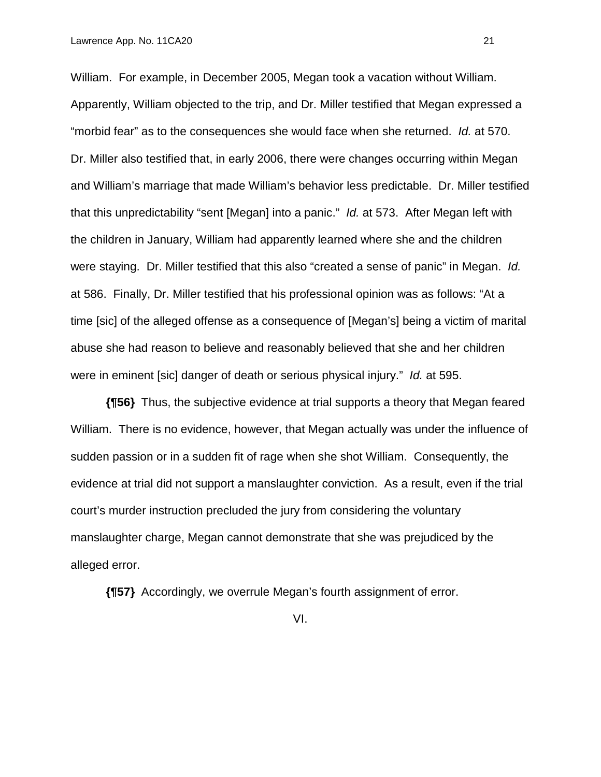William. For example, in December 2005, Megan took a vacation without William. Apparently, William objected to the trip, and Dr. Miller testified that Megan expressed a "morbid fear" as to the consequences she would face when she returned. *Id.* at 570. Dr. Miller also testified that, in early 2006, there were changes occurring within Megan and William's marriage that made William's behavior less predictable. Dr. Miller testified that this unpredictability "sent [Megan] into a panic." *Id.* at 573. After Megan left with the children in January, William had apparently learned where she and the children were staying. Dr. Miller testified that this also "created a sense of panic" in Megan. *Id.* at 586. Finally, Dr. Miller testified that his professional opinion was as follows: "At a time [sic] of the alleged offense as a consequence of [Megan's] being a victim of marital abuse she had reason to believe and reasonably believed that she and her children were in eminent [sic] danger of death or serious physical injury." *Id.* at 595.

**{¶56}** Thus, the subjective evidence at trial supports a theory that Megan feared William. There is no evidence, however, that Megan actually was under the influence of sudden passion or in a sudden fit of rage when she shot William. Consequently, the evidence at trial did not support a manslaughter conviction. As a result, even if the trial court's murder instruction precluded the jury from considering the voluntary manslaughter charge, Megan cannot demonstrate that she was prejudiced by the alleged error.

**{¶57}** Accordingly, we overrule Megan's fourth assignment of error.

VI.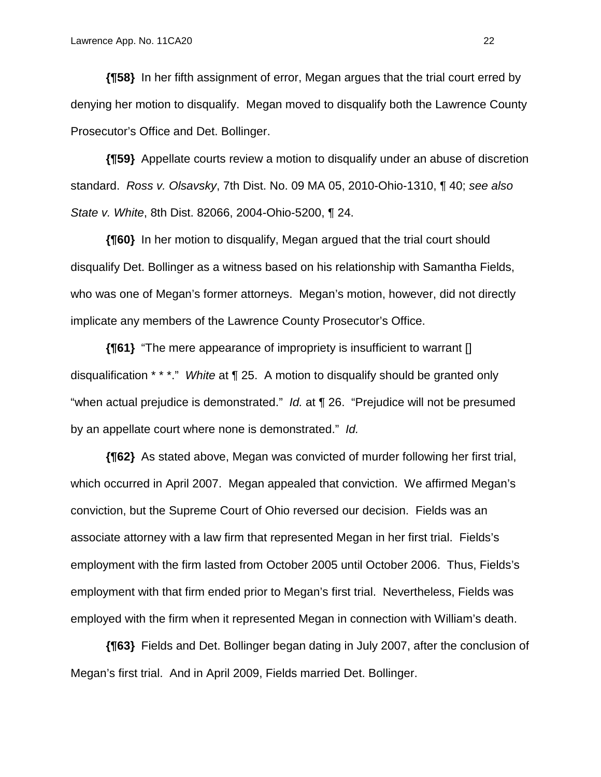**{¶58}** In her fifth assignment of error, Megan argues that the trial court erred by denying her motion to disqualify. Megan moved to disqualify both the Lawrence County Prosecutor's Office and Det. Bollinger.

**{¶59}** Appellate courts review a motion to disqualify under an abuse of discretion standard. *Ross v. Olsavsky*, 7th Dist. No. 09 MA 05, 2010-Ohio-1310, ¶ 40; *see also State v. White*, 8th Dist. 82066, 2004-Ohio-5200, ¶ 24.

**{¶60}** In her motion to disqualify, Megan argued that the trial court should disqualify Det. Bollinger as a witness based on his relationship with Samantha Fields, who was one of Megan's former attorneys. Megan's motion, however, did not directly implicate any members of the Lawrence County Prosecutor's Office.

**{¶61}** "The mere appearance of impropriety is insufficient to warrant [] disqualification \* \* \*." *White* at ¶ 25. A motion to disqualify should be granted only "when actual prejudice is demonstrated." *Id.* at ¶ 26. "Prejudice will not be presumed by an appellate court where none is demonstrated." *Id.*

**{¶62}** As stated above, Megan was convicted of murder following her first trial, which occurred in April 2007. Megan appealed that conviction. We affirmed Megan's conviction, but the Supreme Court of Ohio reversed our decision. Fields was an associate attorney with a law firm that represented Megan in her first trial. Fields's employment with the firm lasted from October 2005 until October 2006. Thus, Fields's employment with that firm ended prior to Megan's first trial. Nevertheless, Fields was employed with the firm when it represented Megan in connection with William's death.

**{¶63}** Fields and Det. Bollinger began dating in July 2007, after the conclusion of Megan's first trial. And in April 2009, Fields married Det. Bollinger.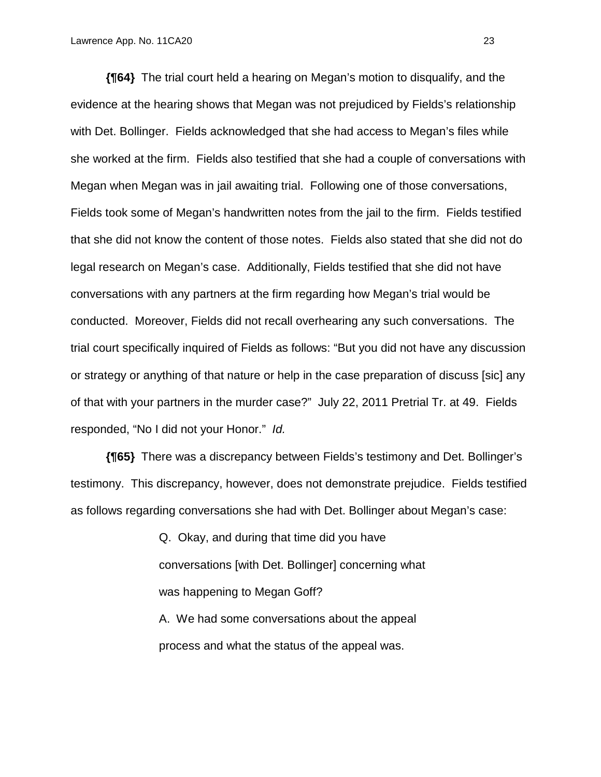**{¶64}** The trial court held a hearing on Megan's motion to disqualify, and the evidence at the hearing shows that Megan was not prejudiced by Fields's relationship with Det. Bollinger. Fields acknowledged that she had access to Megan's files while she worked at the firm. Fields also testified that she had a couple of conversations with Megan when Megan was in jail awaiting trial. Following one of those conversations, Fields took some of Megan's handwritten notes from the jail to the firm. Fields testified that she did not know the content of those notes. Fields also stated that she did not do legal research on Megan's case. Additionally, Fields testified that she did not have conversations with any partners at the firm regarding how Megan's trial would be conducted. Moreover, Fields did not recall overhearing any such conversations. The trial court specifically inquired of Fields as follows: "But you did not have any discussion or strategy or anything of that nature or help in the case preparation of discuss [sic] any of that with your partners in the murder case?" July 22, 2011 Pretrial Tr. at 49. Fields responded, "No I did not your Honor." *Id.*

**{¶65}** There was a discrepancy between Fields's testimony and Det. Bollinger's testimony. This discrepancy, however, does not demonstrate prejudice. Fields testified as follows regarding conversations she had with Det. Bollinger about Megan's case:

> Q. Okay, and during that time did you have conversations [with Det. Bollinger] concerning what was happening to Megan Goff?

A. We had some conversations about the appeal process and what the status of the appeal was.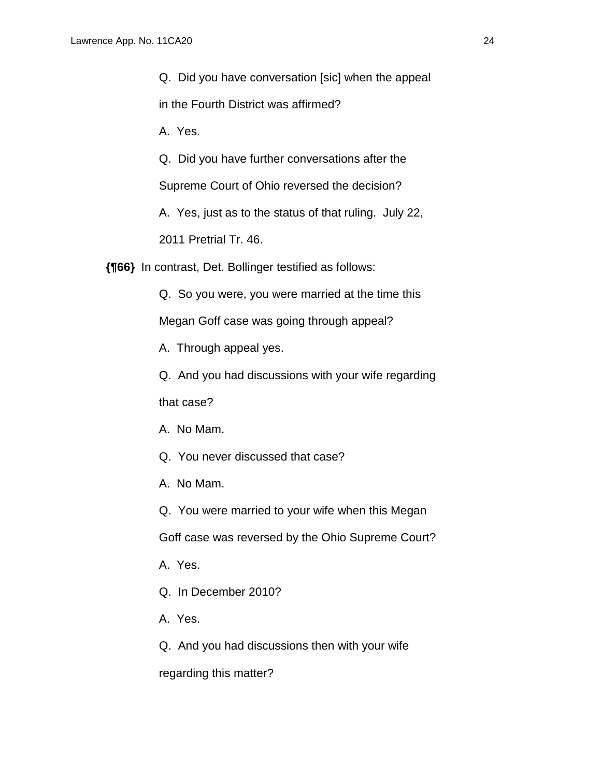Q. Did you have conversation [sic] when the appeal

in the Fourth District was affirmed?

A. Yes.

Q. Did you have further conversations after the

Supreme Court of Ohio reversed the decision?

A. Yes, just as to the status of that ruling. July 22,

2011 Pretrial Tr. 46.

**{¶66}** In contrast, Det. Bollinger testified as follows:

Q. So you were, you were married at the time this

Megan Goff case was going through appeal?

A. Through appeal yes.

Q. And you had discussions with your wife regarding that case?

A. No Mam.

Q. You never discussed that case?

A. No Mam.

Q. You were married to your wife when this Megan

Goff case was reversed by the Ohio Supreme Court?

A. Yes.

Q. In December 2010?

A. Yes.

Q. And you had discussions then with your wife

regarding this matter?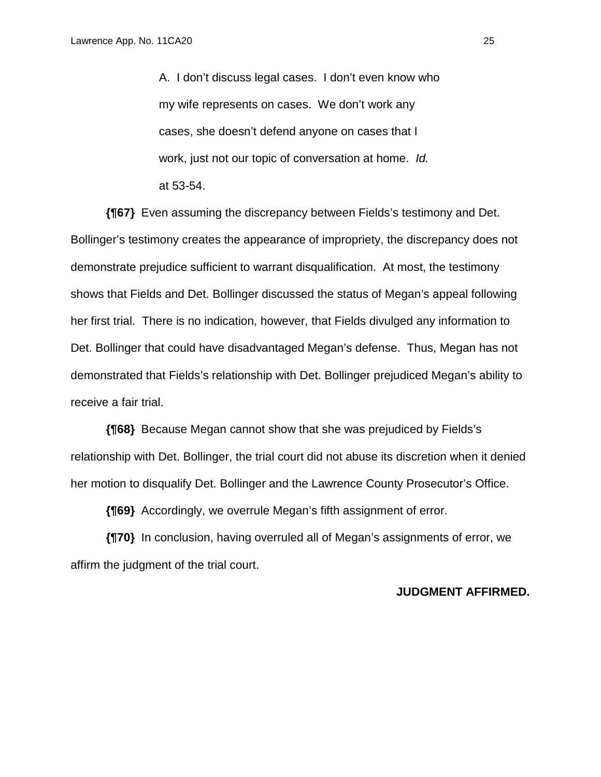A. I don't discuss legal cases. I don't even know who my wife represents on cases. We don't work any cases, she doesn't defend anyone on cases that I work, just not our topic of conversation at home. *Id.* at 53-54.

**{¶67}** Even assuming the discrepancy between Fields's testimony and Det. Bollinger's testimony creates the appearance of impropriety, the discrepancy does not demonstrate prejudice sufficient to warrant disqualification. At most, the testimony shows that Fields and Det. Bollinger discussed the status of Megan's appeal following her first trial. There is no indication, however, that Fields divulged any information to Det. Bollinger that could have disadvantaged Megan's defense. Thus, Megan has not demonstrated that Fields's relationship with Det. Bollinger prejudiced Megan's ability to receive a fair trial.

**{¶68}** Because Megan cannot show that she was prejudiced by Fields's relationship with Det. Bollinger, the trial court did not abuse its discretion when it denied her motion to disqualify Det. Bollinger and the Lawrence County Prosecutor's Office.

**{¶69}** Accordingly, we overrule Megan's fifth assignment of error.

**{¶70}** In conclusion, having overruled all of Megan's assignments of error, we affirm the judgment of the trial court.

### **JUDGMENT AFFIRMED.**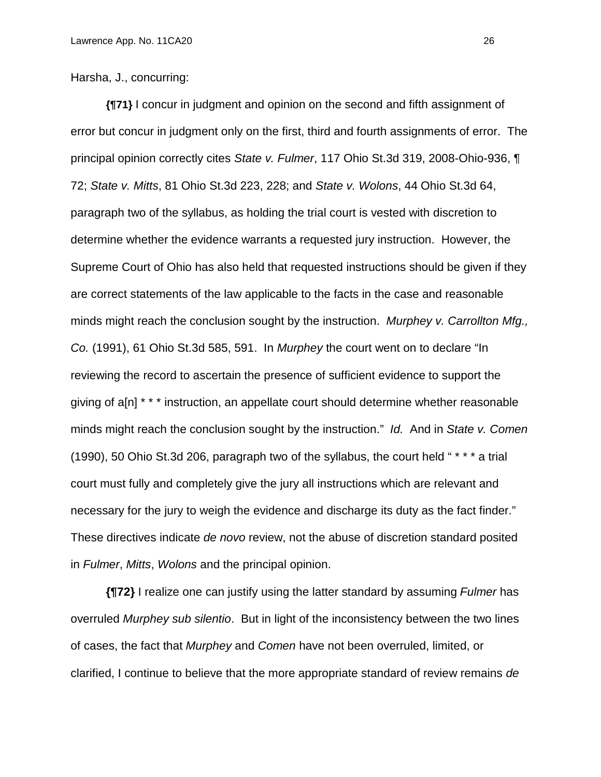Harsha, J., concurring:

**{¶71}** I concur in judgment and opinion on the second and fifth assignment of error but concur in judgment only on the first, third and fourth assignments of error. The principal opinion correctly cites *State v. Fulmer*, 117 Ohio St.3d 319, 2008-Ohio-936, ¶ 72; *State v. Mitts*, 81 Ohio St.3d 223, 228; and *State v. Wolons*, 44 Ohio St.3d 64, paragraph two of the syllabus, as holding the trial court is vested with discretion to determine whether the evidence warrants a requested jury instruction. However, the Supreme Court of Ohio has also held that requested instructions should be given if they are correct statements of the law applicable to the facts in the case and reasonable minds might reach the conclusion sought by the instruction. *Murphey v. Carrollton Mfg., Co.* (1991), 61 Ohio St.3d 585, 591. In *Murphey* the court went on to declare "In reviewing the record to ascertain the presence of sufficient evidence to support the giving of a[n] \* \* \* instruction, an appellate court should determine whether reasonable minds might reach the conclusion sought by the instruction." *Id.* And in *State v. Comen* (1990), 50 Ohio St.3d 206, paragraph two of the syllabus, the court held " \* \* \* a trial court must fully and completely give the jury all instructions which are relevant and necessary for the jury to weigh the evidence and discharge its duty as the fact finder." These directives indicate *de novo* review, not the abuse of discretion standard posited in *Fulmer*, *Mitts*, *Wolons* and the principal opinion.

**{¶72}** I realize one can justify using the latter standard by assuming *Fulmer* has overruled *Murphey sub silentio*. But in light of the inconsistency between the two lines of cases, the fact that *Murphey* and *Comen* have not been overruled, limited, or clarified, I continue to believe that the more appropriate standard of review remains *de*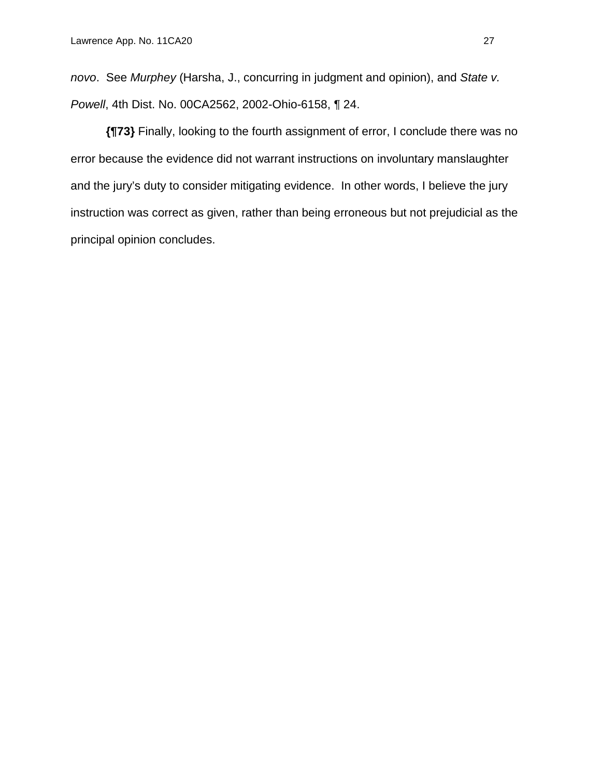*novo*. See *Murphey* (Harsha, J., concurring in judgment and opinion), and *State v. Powell*, 4th Dist. No. 00CA2562, 2002-Ohio-6158, ¶ 24.

**{¶73}** Finally, looking to the fourth assignment of error, I conclude there was no error because the evidence did not warrant instructions on involuntary manslaughter and the jury's duty to consider mitigating evidence. In other words, I believe the jury instruction was correct as given, rather than being erroneous but not prejudicial as the principal opinion concludes.